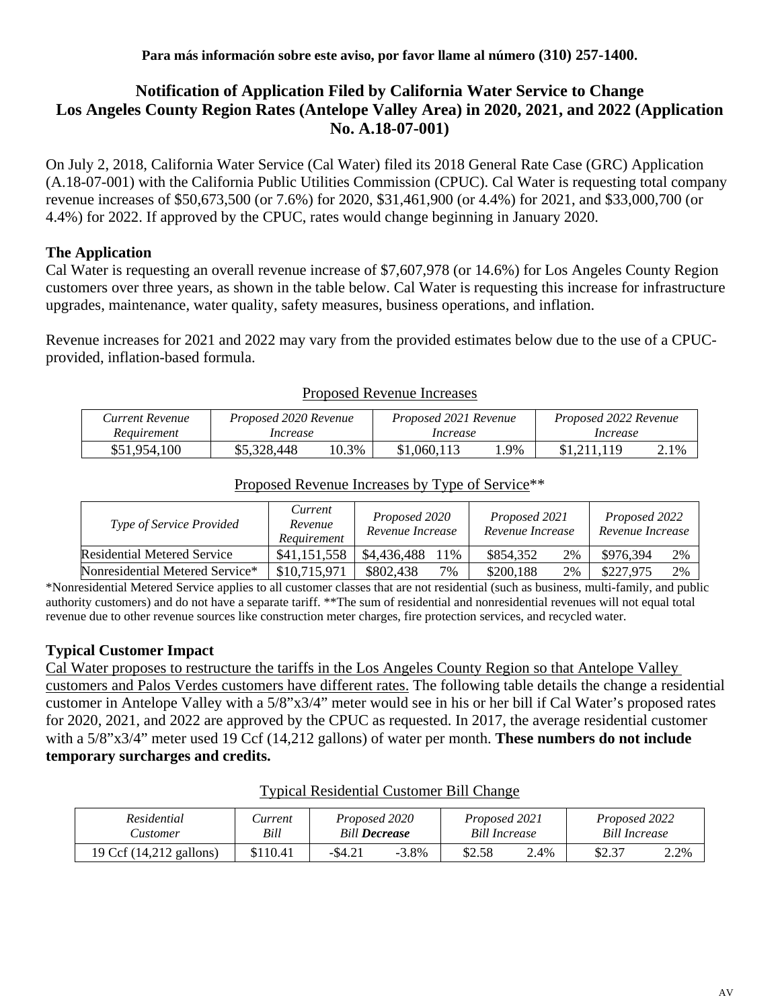# **Notification of Application Filed by California Water Service to Change Los Angeles County Region Rates (Antelope Valley Area) in 2020, 2021, and 2022 (Application No. A.18-07-001)**

On July 2, 2018, California Water Service (Cal Water) filed its 2018 General Rate Case (GRC) Application (A.18-07-001) with the California Public Utilities Commission (CPUC). Cal Water is requesting total company revenue increases of \$50,673,500 (or 7.6%) for 2020, \$31,461,900 (or 4.4%) for 2021, and \$33,000,700 (or 4.4%) for 2022. If approved by the CPUC, rates would change beginning in January 2020.

# **The Application**

Cal Water is requesting an overall revenue increase of \$7,607,978 (or 14.6%) for Los Angeles County Region customers over three years, as shown in the table below. Cal Water is requesting this increase for infrastructure upgrades, maintenance, water quality, safety measures, business operations, and inflation.

Revenue increases for 2021 and 2022 may vary from the provided estimates below due to the use of a CPUCprovided, inflation-based formula.

| Current Revenue | Proposed 2020 Revenue |       | Proposed 2021 Revenue |     | Proposed 2022 Revenue |      |
|-----------------|-----------------------|-------|-----------------------|-----|-----------------------|------|
| Requirement     | Increase              |       | Increase              |     | Increase              |      |
| \$51,954,100    | \$5,328,448           | 10.3% | \$1,060,113           | .9% | \$1,211,119           | 2.1% |

#### Proposed Revenue Increases

| Type of Service Provided    | Current<br>Revenue<br>Requirement | Proposed 2020<br>Revenue Increase | Proposed 2021<br>Revenue Increase | Proposed 2022<br>Revenue Increase |
|-----------------------------|-----------------------------------|-----------------------------------|-----------------------------------|-----------------------------------|
| Residential Metered Service | \$41,151,558                      | \$4,436,488<br>$1\%$              | 2%<br>\$854.352                   | \$976.394<br>2%                   |
|                             |                                   |                                   |                                   |                                   |

## Proposed Revenue Increases by Type of Service\*\*

Nonresidential Metered Service\* | \$10,715,971 | \$802,438 7% | \$200,188 2% | \$227,975 2% \*Nonresidential Metered Service applies to all customer classes that are not residential (such as business, multi-family, and public authority customers) and do not have a separate tariff. \*\*The sum of residential and nonresidential revenues will not equal total revenue due to other revenue sources like construction meter charges, fire protection services, and recycled water.

# **Typical Customer Impact**

Cal Water proposes to restructure the tariffs in the Los Angeles County Region so that Antelope Valley customers and Palos Verdes customers have different rates. The following table details the change a residential customer in Antelope Valley with a 5/8"x3/4" meter would see in his or her bill if Cal Water's proposed rates for 2020, 2021, and 2022 are approved by the CPUC as requested. In 2017, the average residential customer with a 5/8"x3/4" meter used 19 Ccf (14,212 gallons) of water per month. **These numbers do not include temporary surcharges and credits.**

| Residential<br>Customer | Current<br>Bill | Proposed 2020<br><b>Bill Decrease</b> |          | Proposed 2021<br><b>Bill Increase</b> |      | Proposed 2022<br>Bill Increase |      |
|-------------------------|-----------------|---------------------------------------|----------|---------------------------------------|------|--------------------------------|------|
| 19 Ccf (14,212 gallons) | \$110.41        | $-$ \$4.21                            | $-3.8\%$ | \$2.58                                | 2.4% | \$2.37                         | 2.2% |

#### Typical Residential Customer Bill Change